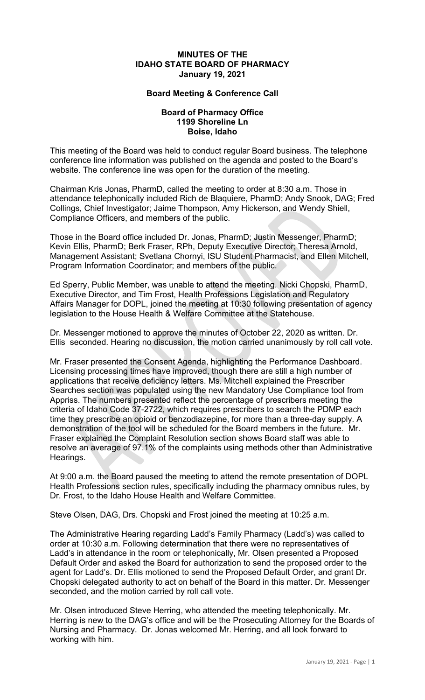## **MINUTES OF THE IDAHO STATE BOARD OF PHARMACY January 19, 2021**

## **Board Meeting & Conference Call**

## **Board of Pharmacy Office 1199 Shoreline Ln Boise, Idaho**

This meeting of the Board was held to conduct regular Board business. The telephone conference line information was published on the agenda and posted to the Board's website. The conference line was open for the duration of the meeting.

Chairman Kris Jonas, PharmD, called the meeting to order at 8:30 a.m. Those in attendance telephonically included Rich de Blaquiere, PharmD; Andy Snook, DAG; Fred Collings, Chief Investigator; Jaime Thompson, Amy Hickerson, and Wendy Shiell, Compliance Officers, and members of the public.

Those in the Board office included Dr. Jonas, PharmD; Justin Messenger, PharmD; Kevin Ellis, PharmD; Berk Fraser, RPh, Deputy Executive Director; Theresa Arnold, Management Assistant; Svetlana Chornyi, ISU Student Pharmacist, and Ellen Mitchell, Program Information Coordinator; and members of the public.

Ed Sperry, Public Member, was unable to attend the meeting. Nicki Chopski, PharmD, Executive Director, and Tim Frost, Health Professions Legislation and Regulatory Affairs Manager for DOPL, joined the meeting at 10:30 following presentation of agency legislation to the House Health & Welfare Committee at the Statehouse.

Dr. Messenger motioned to approve the minutes of October 22, 2020 as written. Dr. Ellis seconded. Hearing no discussion, the motion carried unanimously by roll call vote.

Mr. Fraser presented the Consent Agenda, highlighting the Performance Dashboard. Licensing processing times have improved, though there are still a high number of applications that receive deficiency letters. Ms. Mitchell explained the Prescriber Searches section was populated using the new Mandatory Use Compliance tool from Appriss. The numbers presented reflect the percentage of prescribers meeting the criteria of Idaho Code 37-2722, which requires prescribers to search the PDMP each time they prescribe an opioid or benzodiazepine, for more than a three-day supply. A demonstration of the tool will be scheduled for the Board members in the future. Mr. Fraser explained the Complaint Resolution section shows Board staff was able to resolve an average of 97.1% of the complaints using methods other than Administrative Hearings.

At 9:00 a.m. the Board paused the meeting to attend the remote presentation of DOPL Health Professions section rules, specifically including the pharmacy omnibus rules, by Dr. Frost, to the Idaho House Health and Welfare Committee.

Steve Olsen, DAG, Drs. Chopski and Frost joined the meeting at 10:25 a.m.

The Administrative Hearing regarding Ladd's Family Pharmacy (Ladd's) was called to order at 10:30 a.m. Following determination that there were no representatives of Ladd's in attendance in the room or telephonically, Mr. Olsen presented a Proposed Default Order and asked the Board for authorization to send the proposed order to the agent for Ladd's. Dr. Ellis motioned to send the Proposed Default Order, and grant Dr. Chopski delegated authority to act on behalf of the Board in this matter. Dr. Messenger seconded, and the motion carried by roll call vote.

Mr. Olsen introduced Steve Herring, who attended the meeting telephonically. Mr. Herring is new to the DAG's office and will be the Prosecuting Attorney for the Boards of Nursing and Pharmacy. Dr. Jonas welcomed Mr. Herring, and all look forward to working with him.